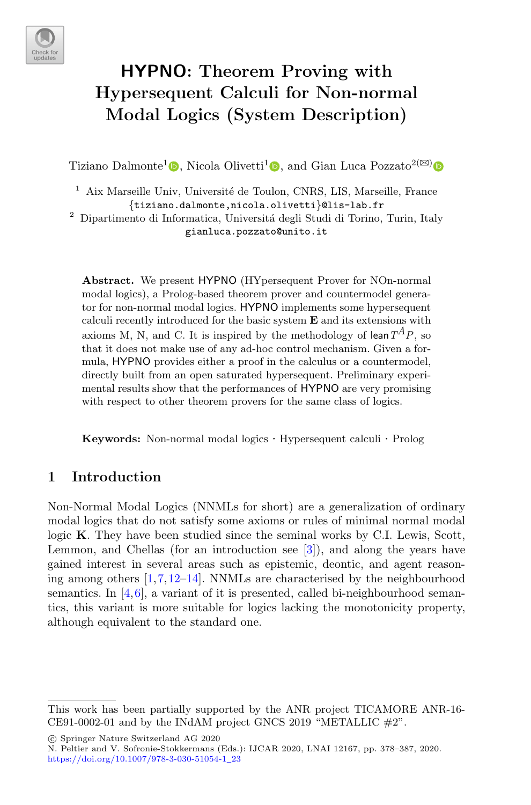

# **HYPNO: Theorem Proving with Hypersequent Calculi for Non-normal Modal Logics (System Description)**

Tiziano Dalmonte<sup>1</sup> [,](http://orcid.org/0000-0001-6254-3754) Nicola Olivetti<sup>1</sup> , and Gian Luca Pozzato<sup>2( $\boxtimes$ [\)](http://orcid.org/0000-0002-3952-4624)</sup>

<sup>1</sup> Aix Marseille Univ, Université de Toulon, CNRS, LIS, Marseille, France  ${tiziano.dalmonte,nicola.olivetti}$ @lis-lab.fr

<sup>2</sup> Dipartimento di Informatica, Universitá degli Studi di Torino, Turin, Italy gianluca.pozzato@unito.it

**Abstract.** We present HYPNO (HYpersequent Prover for NOn-normal modal logics), a Prolog-based theorem prover and countermodel generator for non-normal modal logics. HYPNO implements some hypersequent calculi recently introduced for the basic system **E** and its extensions with axioms M, N, and C. It is inspired by the methodology of lean  $T^A P$ , so that it does not make use of any ad-hoc control mechanism. Given a formula, HYPNO provides either a proof in the calculus or a countermodel, directly built from an open saturated hypersequent. Preliminary experimental results show that the performances of HYPNO are very promising with respect to other theorem provers for the same class of logics.

**Keywords:** Non-normal modal logics · Hypersequent calculi · Prolog

## **1 Introduction**

Non-Normal Modal Logics (NNMLs for short) are a generalization of ordinary modal logics that do not satisfy some axioms or rules of minimal normal modal logic **K**. They have been studied since the seminal works by C.I. Lewis, Scott, Lemmon, and Chellas (for an introduction see [\[3\]](#page-8-0)), and along the years have gained interest in several areas such as epistemic, deontic, and agent reasoning among others [\[1,](#page-8-1)[7,](#page-8-2)[12](#page-8-3)[–14](#page-9-0)]. NNMLs are characterised by the neighbourhood semantics. In  $[4,6]$  $[4,6]$  $[4,6]$ , a variant of it is presented, called bi-neighbourhood semantics, this variant is more suitable for logics lacking the monotonicity property, although equivalent to the standard one.

-c Springer Nature Switzerland AG 2020

This work has been partially supported by the ANR project TICAMORE ANR-16- CE91-0002-01 and by the INdAM project GNCS 2019 "METALLIC  $\#2$ ".

N. Peltier and V. Sofronie-Stokkermans (Eds.): IJCAR 2020, LNAI 12167, pp. 378–387, 2020. [https://doi.org/10.1007/978-3-030-51054-1](https://doi.org/10.1007/978-3-030-51054-1_23)\_23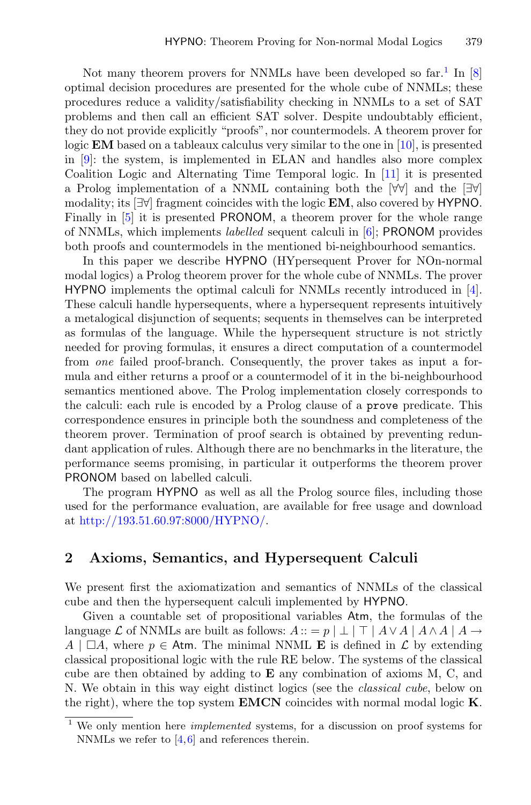Not many theorem provers for NNMLs have been developed so  $\text{far}^1$  $\text{far}^1$  In [\[8\]](#page-8-6) optimal decision procedures are presented for the whole cube of NNMLs; these procedures reduce a validity/satisfiability checking in NNMLs to a set of SAT problems and then call an efficient SAT solver. Despite undoubtably efficient, they do not provide explicitly "proofs", nor countermodels. A theorem prover for logic **EM** based on a tableaux calculus very similar to the one in [\[10](#page-8-7)], is presented in [\[9](#page-8-8)]: the system, is implemented in ELAN and handles also more complex Coalition Logic and Alternating Time Temporal logic. In [\[11](#page-8-9)] it is presented a Prolog implementation of a NNML containing both the [∀∀] and the [∃∀] modality; its [∃∀] fragment coincides with the logic **EM**, also covered by HYPNO. Finally in [\[5](#page-8-10)] it is presented PRONOM, a theorem prover for the whole range of NNMLs, which implements *labelled* sequent calculi in [\[6](#page-8-5)]; PRONOM provides both proofs and countermodels in the mentioned bi-neighbourhood semantics.

In this paper we describe HYPNO (HYpersequent Prover for NOn-normal modal logics) a Prolog theorem prover for the whole cube of NNMLs. The prover HYPNO implements the optimal calculi for NNMLs recently introduced in [\[4\]](#page-8-4). These calculi handle hypersequents, where a hypersequent represents intuitively a metalogical disjunction of sequents; sequents in themselves can be interpreted as formulas of the language. While the hypersequent structure is not strictly needed for proving formulas, it ensures a direct computation of a countermodel from *one* failed proof-branch. Consequently, the prover takes as input a formula and either returns a proof or a countermodel of it in the bi-neighbourhood semantics mentioned above. The Prolog implementation closely corresponds to the calculi: each rule is encoded by a Prolog clause of a prove predicate. This correspondence ensures in principle both the soundness and completeness of the theorem prover. Termination of proof search is obtained by preventing redundant application of rules. Although there are no benchmarks in the literature, the performance seems promising, in particular it outperforms the theorem prover PRONOM based on labelled calculi.

The program HYPNO as well as all the Prolog source files, including those used for the performance evaluation, are available for free usage and download at [http://193.51.60.97:8000/HYPNO/.](http://193.51.60.97:8000/HYPNO/)

### **2 Axioms, Semantics, and Hypersequent Calculi**

We present first the axiomatization and semantics of NNMLs of the classical cube and then the hypersequent calculi implemented by HYPNO.

Given a countable set of propositional variables Atm, the formulas of the language  $\mathcal L$  of NNMLs are built as follows:  $A ::= p | \perp | \top | A \vee A | A \wedge A | A \rightarrow$  $A \mid \Box A$ , where  $p \in$  Atm. The minimal NNML **E** is defined in  $\mathcal{L}$  by extending classical propositional logic with the rule RE below. The systems of the classical cube are then obtained by adding to **E** any combination of axioms M, C, and N. We obtain in this way eight distinct logics (see the *classical cube*, below on the right), where the top system **EMCN** coincides with normal modal logic **K**.

<span id="page-1-0"></span><sup>1</sup> We only mention here *implemented* systems, for a discussion on proof systems for NNMLs we refer to [\[4,](#page-8-4)[6\]](#page-8-5) and references therein.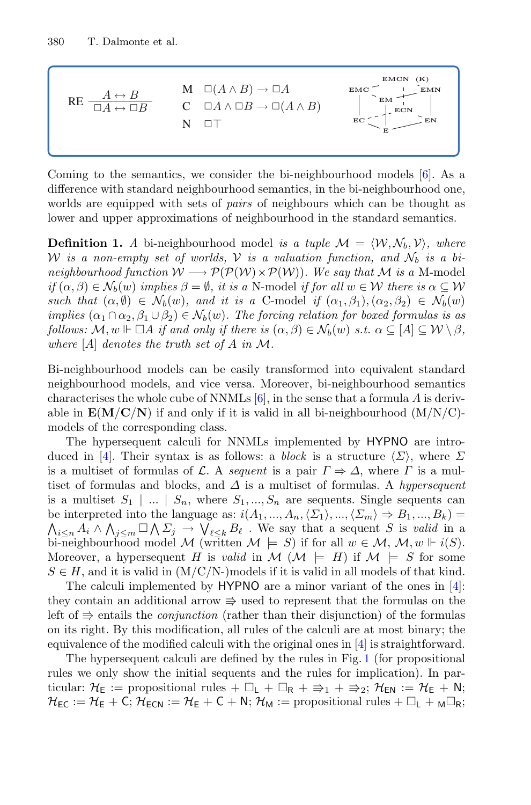

Coming to the semantics, we consider the bi-neighbourhood models [\[6\]](#page-8-5). As a difference with standard neighbourhood semantics, in the bi-neighbourhood one, worlds are equipped with sets of *pairs* of neighbours which can be thought as lower and upper approximations of neighbourhood in the standard semantics.

**Definition 1.** *A* bi-neighbourhood model *is a tuple*  $\mathcal{M} = \langle \mathcal{W}, \mathcal{N}_b, \mathcal{V} \rangle$ , where W is a non-empty set of worlds,  $V$  is a valuation function, and  $\mathcal{N}_b$  is a bi*neighbourhood function*  $W \longrightarrow \mathcal{P}(\mathcal{P}(W) \times \mathcal{P}(W))$ *. We say that* M *is a* M-model *if*  $(\alpha, \beta) \in \mathcal{N}_b(w)$  *implies*  $\beta = \emptyset$ *, it is a* N-model *if for all*  $w \in \mathcal{W}$  *there is*  $\alpha \subseteq \mathcal{W}$ *such that*  $(\alpha, \emptyset) \in \mathcal{N}_b(w)$ *, and it is a* C-model *if*  $(\alpha_1, \beta_1), (\alpha_2, \beta_2) \in \mathcal{N}_b(w)$ *implies*  $(\alpha_1 \cap \alpha_2, \beta_1 \cup \beta_2) \in \mathcal{N}_b(w)$ *. The forcing relation for boxed formulas is as follows:*  $M, w \Vdash \Box A$  *if and only if there is*  $(\alpha, \beta) \in \mathcal{N}_b(w)$  *s.t.*  $\alpha \subseteq [A] \subseteq W \setminus \beta$ , *where* [A] *denotes the truth set of* A *in* M*.*

Bi-neighbourhood models can be easily transformed into equivalent standard neighbourhood models, and vice versa. Moreover, bi-neighbourhood semantics characterises the whole cube of NNMLs  $[6]$ , in the sense that a formula A is derivable in  $\mathbf{E}(\mathbf{M}/\mathbf{C}/\mathbf{N})$  if and only if it is valid in all bi-neighbourhood  $(M/N/C)$ models of the corresponding class.

The hypersequent calculi for NNMLs implemented by HYPNO are intro-duced in [\[4\]](#page-8-4). Their syntax is as follows: a *block* is a structure  $\langle \Sigma \rangle$ , where  $\Sigma$ is a multiset of formulas of L. A *sequent* is a pair  $\Gamma \Rightarrow \Delta$ , where  $\Gamma$  is a multiset of formulas and blocks, and Δ is a multiset of formulas. A *hypersequent* is a multiset  $S_1 \mid ... \mid S_n$ , where  $S_1, ..., S_n$  are sequents. Single sequents can be interpreted into the language as:  $i(A_1, ..., A_n, \langle \Sigma_1 \rangle, ..., \langle \Sigma_m \rangle \Rightarrow B_1, ..., B_k) =$  $\bigwedge_{i\leq n} A_i \wedge \bigwedge_{j\leq m} \Box \bigwedge \Sigma_j \rightarrow \bigvee_{\ell\leq k} B_\ell$ . We say that a sequent S is *valid* in a bi-neighbourhood model M (written  $M \models S$ ) if for all  $w \in M$ ,  $M$ ,  $w \Vdash i(S)$ . Moreover, a hypersequent H is *valid* in  $\mathcal{M}$  ( $\mathcal{M}$   $\models$  H) if  $\mathcal{M}$   $\models$  S for some  $S \in H$ , and it is valid in  $(M/C/N-)$  models if it is valid in all models of that kind.

The calculi implemented by  $HYPNO$  are a minor variant of the ones in [\[4\]](#page-8-4): they contain an additional arrow  $\Rightarrow$  used to represent that the formulas on the left of  $\Rightarrow$  entails the *conjunction* (rather than their disjunction) of the formulas on its right. By this modification, all rules of the calculi are at most binary; the equivalence of the modified calculi with the original ones in [\[4](#page-8-4)] is straightforward.

The hypersequent calculi are defined by the rules in Fig. [1](#page-3-0) (for propositional rules we only show the initial sequents and the rules for implication). In particular:  $H_E :=$  propositional rules +  $\Box_L$  +  $\Box_R$  +  $\Rightarrow$   $_1$  +  $\Rightarrow$   $_2$ ;  $H_{EN} := H_E + N$ ;  $\mathcal{H}_{\mathsf{EC}} := \mathcal{H}_{\mathsf{E}} + \mathsf{C};$   $\mathcal{H}_{\mathsf{ECN}} := \mathcal{H}_{\mathsf{E}} + \mathsf{C} + \mathsf{N};$   $\mathcal{H}_{\mathsf{M}} :=$  propositional rules  $+ \Box_{\mathsf{L}} + {}_{\mathsf{M}} \Box_{\mathsf{R}};$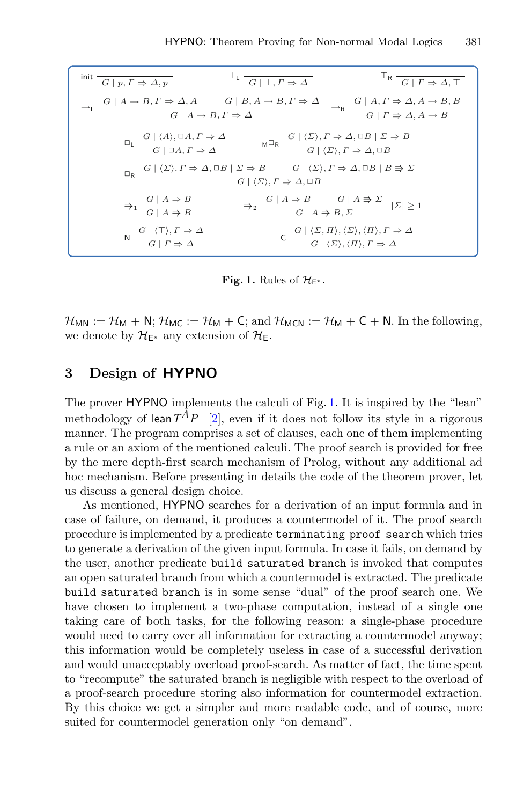| init $\frac{G p, \Gamma \Rightarrow \Delta, p}{\Box$                                                                  | $\perp$ $\frac{1}{G \perp \Gamma \Rightarrow \Delta}$                                                                                                                                                                                                                                                                                  | $R \overline{G \mid \Gamma \Rightarrow \Delta, \top}$                                                                                                                                                |
|-----------------------------------------------------------------------------------------------------------------------|----------------------------------------------------------------------------------------------------------------------------------------------------------------------------------------------------------------------------------------------------------------------------------------------------------------------------------------|------------------------------------------------------------------------------------------------------------------------------------------------------------------------------------------------------|
|                                                                                                                       | $\rightarrow_L \frac{G \mid A \rightarrow B, \Gamma \Rightarrow \Delta, A \qquad G \mid B, A \rightarrow B, \Gamma \Rightarrow \Delta}{G \mid A \rightarrow B, \Gamma \Rightarrow \Delta} \rightarrow_R \frac{G \mid A, \Gamma \Rightarrow \Delta, A \rightarrow B, B}{G \mid \Gamma \Rightarrow \Delta, A \rightarrow B}$             |                                                                                                                                                                                                      |
| $\Box_L \frac{G \mid \langle A \rangle, \Box A, \Gamma \Rightarrow \Delta}{G \mid \Box A, \Gamma \Rightarrow \Delta}$ |                                                                                                                                                                                                                                                                                                                                        | $M \Box_R \frac{G \mid \langle \Sigma \rangle, I \Rightarrow \Delta, \Box B \mid \Sigma \Rightarrow B}{G \mid \langle \Sigma \rangle, \Gamma \Rightarrow \Delta, \Box B}$                            |
|                                                                                                                       | $\Box_R \quad \frac{G \mid \langle \Sigma \rangle, \Gamma \Rightarrow \Delta, \Box B \mid \Sigma \Rightarrow B}{\longrightarrow} \quad \frac{G \mid \langle \Sigma \rangle, \Gamma \Rightarrow \Delta, \Box B \mid B \Rightarrow \Sigma}{\longrightarrow}$<br>$G \mid \langle \Sigma \rangle$ , $\Gamma \Rightarrow \Delta$ , $\Box B$ |                                                                                                                                                                                                      |
| $\Rightarrow_1 \frac{G \mid A \Rightarrow B}{G \mid A \Rightarrow B}$                                                 | $\Rightarrow_2 \frac{G \mid A \Rightarrow B \qquad G \mid A \Rightarrow \Sigma}{G \mid A \Rightarrow B, \Sigma}  \Sigma  \ge 1$                                                                                                                                                                                                        |                                                                                                                                                                                                      |
| N $\frac{G \mid \langle \perp \rangle, \Gamma \Rightarrow \Delta}{G \mid \Gamma \Rightarrow \Delta}$                  |                                                                                                                                                                                                                                                                                                                                        | $C \frac{G \mid \langle \Sigma, \Pi \rangle, \langle \Sigma \rangle, \langle \Pi \rangle, \Gamma \Rightarrow \Delta}{G \mid \langle \Sigma \rangle, \langle \Pi \rangle, \Gamma \Rightarrow \Delta}$ |

<span id="page-3-0"></span>**Fig. 1.** Rules of  $\mathcal{H}_{E^*}$ .

 $\mathcal{H}_{MN} := \mathcal{H}_{M} + N$ ;  $\mathcal{H}_{MC} := \mathcal{H}_{M} + C$ ; and  $\mathcal{H}_{MCN} := \mathcal{H}_{M} + C + N$ . In the following, we denote by  $\mathcal{H}_{\mathsf{E}^*}$  any extension of  $\mathcal{H}_{\mathsf{E}}$ .

### **3 Design of HYPNO**

The prover HYPNO implements the calculi of Fig. [1.](#page-3-0) It is inspired by the "lean" methodology of lean  $T^A P$  [\[2](#page-8-11)], even if it does not follow its style in a rigorous manner. The program comprises a set of clauses, each one of them implementing a rule or an axiom of the mentioned calculi. The proof search is provided for free by the mere depth-first search mechanism of Prolog, without any additional ad hoc mechanism. Before presenting in details the code of the theorem prover, let us discuss a general design choice.

As mentioned, HYPNO searches for a derivation of an input formula and in case of failure, on demand, it produces a countermodel of it. The proof search procedure is implemented by a predicate terminating proof search which tries to generate a derivation of the given input formula. In case it fails, on demand by the user, another predicate build saturated branch is invoked that computes an open saturated branch from which a countermodel is extracted. The predicate build saturated branch is in some sense "dual" of the proof search one. We have chosen to implement a two-phase computation, instead of a single one taking care of both tasks, for the following reason: a single-phase procedure would need to carry over all information for extracting a countermodel anyway; this information would be completely useless in case of a successful derivation and would unacceptably overload proof-search. As matter of fact, the time spent to "recompute" the saturated branch is negligible with respect to the overload of a proof-search procedure storing also information for countermodel extraction. By this choice we get a simpler and more readable code, and of course, more suited for countermodel generation only "on demand".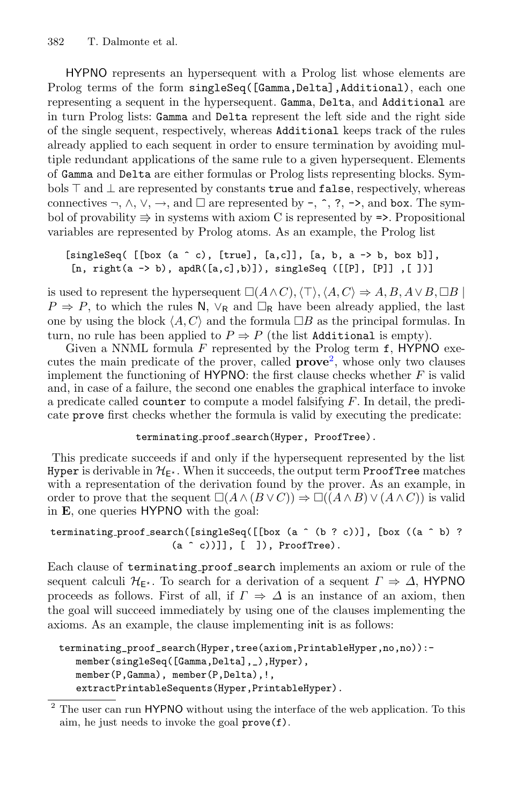HYPNO represents an hypersequent with a Prolog list whose elements are Prolog terms of the form singleSeq([Gamma, Delta], Additional), each one representing a sequent in the hypersequent. Gamma, Delta, and Additional are in turn Prolog lists: Gamma and Delta represent the left side and the right side of the single sequent, respectively, whereas Additional keeps track of the rules already applied to each sequent in order to ensure termination by avoiding multiple redundant applications of the same rule to a given hypersequent. Elements of Gamma and Delta are either formulas or Prolog lists representing blocks. Symbols  $\top$  and  $\bot$  are represented by constants **true** and **false**, respectively, whereas connectives  $\neg, \wedge, \vee, \rightarrow,$  and  $\square$  are represented by  $\neg, \hat{\ }$ ,  $\hat{\ }$ ,  $\rightarrow$ , and box. The symbol of provability  $\Rightarrow$  in systems with axiom C is represented by  $\Rightarrow$ . Propositional variables are represented by Prolog atoms. As an example, the Prolog list

```
[singleSeq( [[box (a \hat{c} c), [true], [a,c]], [a, b, a -> b, box b]],
 [n, right(a -> b), apdR([a,c],b)]), singleSeq ([[P], [P]] ,[ ])]
```
is used to represent the hypersequent  $\square(A \land C), \langle \top \rangle, \langle A, C \rangle \Rightarrow A, B, A \lor B, \square B$  $P \Rightarrow P$ , to which the rules N,  $\vee_R$  and  $\Box_R$  have been already applied, the last one by using the block  $\langle A, C \rangle$  and the formula  $\Box B$  as the principal formulas. In turn, no rule has been applied to  $P \Rightarrow P$  (the list Additional is empty).

Given a NNML formula  $F$  represented by the Prolog term  $f$ , HYPNO executes the main predicate of the prover, called **prove**[2](#page-4-0), whose only two clauses implement the functioning of  $HYPNO:$  the first clause checks whether  $F$  is valid and, in case of a failure, the second one enables the graphical interface to invoke a predicate called counter to compute a model falsifying  $F$ . In detail, the predicate prove first checks whether the formula is valid by executing the predicate:

#### terminating proof search(Hyper, ProofTree).

This predicate succeeds if and only if the hypersequent represented by the list Hyper is derivable in  $\mathcal{H}_{E^*}$ . When it succeeds, the output term ProofTree matches with a representation of the derivation found by the prover. As an example, in order to prove that the sequent  $\square(A \wedge (B \vee C)) \Rightarrow \square((A \wedge B) \vee (A \wedge C))$  is valid in **E**, one queries HYPNO with the goal:

```
terminating proof search([singleSeq([[box (a ^ (b ? c))], [box ((a ^ b) ?
                     (a \cap c))], [ ], ProofTree).
```
Each clause of terminating proof search implements an axiom or rule of the sequent calculi  $\mathcal{H}_{E^*}$ . To search for a derivation of a sequent  $\Gamma \Rightarrow \Delta$ , HYPNO proceeds as follows. First of all, if  $\Gamma \Rightarrow \Delta$  is an instance of an axiom, then the goal will succeed immediately by using one of the clauses implementing the axioms. As an example, the clause implementing init is as follows:

```
terminating_proof_search(Hyper,tree(axiom,PrintableHyper,no,no)):-
   member(singleSeq([Gamma,Delta],_),Hyper),
   member(P,Gamma), member(P,Delta),!,
   extractPrintableSequents(Hyper,PrintableHyper).
```
<span id="page-4-0"></span><sup>&</sup>lt;sup>2</sup> The user can run HYPNO without using the interface of the web application. To this aim, he just needs to invoke the goal prove(f).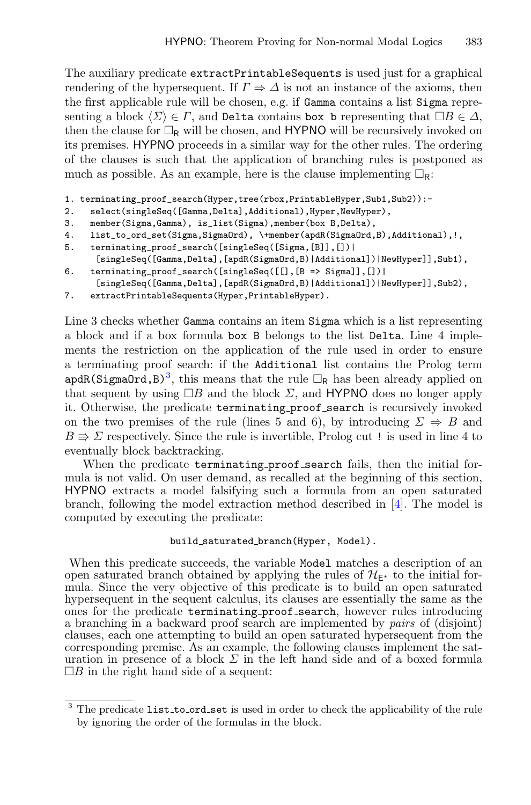The auxiliary predicate extractPrintableSequents is used just for a graphical rendering of the hypersequent. If  $\Gamma \Rightarrow \Delta$  is not an instance of the axioms, then the first applicable rule will be chosen, e.g. if Gamma contains a list Sigma representing a block  $\langle \Sigma \rangle \in \Gamma$ , and Delta contains box b representing that  $\Box B \in \Delta$ , then the clause for  $\Box_R$  will be chosen, and  $HYPNO$  will be recursively invoked on its premises. HYPNO proceeds in a similar way for the other rules. The ordering of the clauses is such that the application of branching rules is postponed as much as possible. As an example, here is the clause implementing  $\Box_R$ :

- 1. terminating\_proof\_search(Hyper,tree(rbox,PrintableHyper,Sub1,Sub2)):-
- 2. select(singleSeq([Gamma,Delta],Additional),Hyper,NewHyper),
- 3. member(Sigma,Gamma), is\_list(Sigma),member(box B,Delta),

```
4. list_to_ord_set(Sigma,SigmaOrd), \+member(apdR(SigmaOrd,B),Additional),!,
```

```
5. terminating_proof_search([singleSeq([Sigma,[B]],[])|
```

```
[singleSeq([Gamma,Delta],[apdR(SigmaOrd,B)|Additional])|NewHyper]],Sub1),
6. terminating_proof_search([singleSeq([[],[B => Sigma]],[])|
```
- [singleSeq([Gamma,Delta],[apdR(SigmaOrd,B)|Additional])|NewHyper]],Sub2),
- 7. extractPrintableSequents(Hyper,PrintableHyper).

Line 3 checks whether Gamma contains an item Sigma which is a list representing a block and if a box formula box B belongs to the list Delta. Line 4 implements the restriction on the application of the rule used in order to ensure a terminating proof search: if the Additional list contains the Prolog term apdR(SigmaOrd,B)<sup>[3](#page-5-0)</sup>, this means that the rule  $\Box_R$  has been already applied on that sequent by using  $\Box B$  and the block  $\Sigma$ , and HYPNO does no longer apply it. Otherwise, the predicate terminating proof search is recursively invoked on the two premises of the rule (lines 5 and 6), by introducing  $\Sigma \Rightarrow B$  and  $B \Rightarrow \Sigma$  respectively. Since the rule is invertible, Prolog cut ! is used in line 4 to eventually block backtracking.

When the predicate terminating proof search fails, then the initial formula is not valid. On user demand, as recalled at the beginning of this section, HYPNO extracts a model falsifying such a formula from an open saturated branch, following the model extraction method described in [\[4](#page-8-4)]. The model is computed by executing the predicate:

#### build saturated branch(Hyper, Model).

When this predicate succeeds, the variable Model matches a description of an open saturated branch obtained by applying the rules of  $\mathcal{H}_{E^*}$  to the initial formula. Since the very objective of this predicate is to build an open saturated hypersequent in the sequent calculus, its clauses are essentially the same as the ones for the predicate terminating proof search, however rules introducing a branching in a backward proof search are implemented by *pairs* of (disjoint) clauses, each one attempting to build an open saturated hypersequent from the corresponding premise. As an example, the following clauses implement the saturation in presence of a block  $\Sigma$  in the left hand side and of a boxed formula  $\Box B$  in the right hand side of a sequent:

<span id="page-5-0"></span><sup>&</sup>lt;sup>3</sup> The predicate list\_to\_ord\_set is used in order to check the applicability of the rule by ignoring the order of the formulas in the block.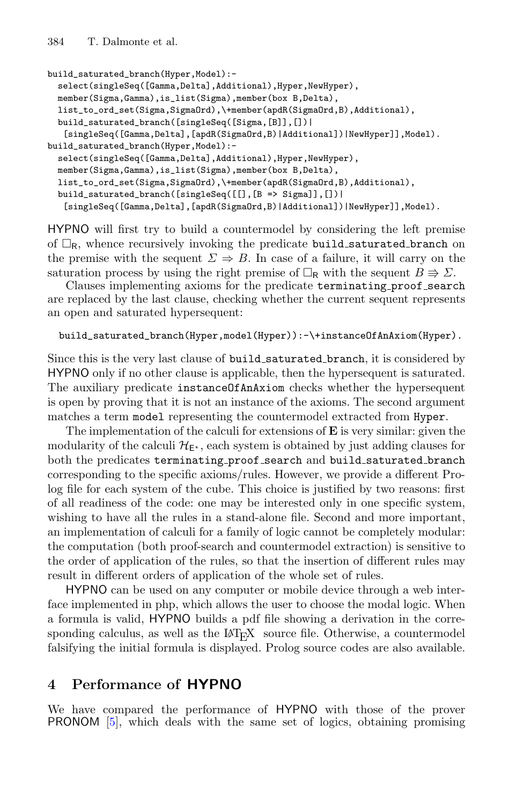```
build_saturated_branch(Hyper,Model):-
 select(singleSeq([Gamma,Delta],Additional),Hyper,NewHyper),
 member(Sigma,Gamma),is_list(Sigma),member(box B,Delta),
 list_to_ord_set(Sigma,SigmaOrd),\+member(apdR(SigmaOrd,B),Additional),
 build_saturated_branch([singleSeq([Sigma,[B]],[])|
   [singleSeq([Gamma,Delta],[apdR(SigmaOrd,B)|Additional])|NewHyper]],Model).
build_saturated_branch(Hyper,Model):-
 select(singleSeq([Gamma,Delta],Additional),Hyper,NewHyper),
 member(Sigma,Gamma),is_list(Sigma),member(box B,Delta),
 list_to_ord_set(Sigma,SigmaOrd),\+member(apdR(SigmaOrd,B),Additional),
 build_saturated_branch([singleSeq([[],[B => Sigma]],[])|
   [singleSeq([Gamma,Delta],[apdR(SigmaOrd,B)|Additional])|NewHyper]],Model).
```
HYPNO will first try to build a countermodel by considering the left premise of  $\Box_R$ , whence recursively invoking the predicate build\_saturated\_branch on the premise with the sequent  $\Sigma \Rightarrow B$ . In case of a failure, it will carry on the saturation process by using the right premise of  $\Box_R$  with the sequent  $B \Rrightarrow \Sigma$ .

Clauses implementing axioms for the predicate terminating proof search are replaced by the last clause, checking whether the current sequent represents an open and saturated hypersequent:

```
build_saturated_branch(Hyper,model(Hyper)):-\+instanceOfAnAxiom(Hyper).
```
Since this is the very last clause of build saturated branch, it is considered by HYPNO only if no other clause is applicable, then the hypersequent is saturated. The auxiliary predicate instanceOfAnAxiom checks whether the hypersequent is open by proving that it is not an instance of the axioms. The second argument matches a term model representing the countermodel extracted from Hyper.

The implementation of the calculi for extensions of **E** is very similar: given the modularity of the calculi  $\mathcal{H}_{\mathsf{E}^*}$ , each system is obtained by just adding clauses for both the predicates terminating proof search and build saturated branch corresponding to the specific axioms/rules. However, we provide a different Prolog file for each system of the cube. This choice is justified by two reasons: first of all readiness of the code: one may be interested only in one specific system, wishing to have all the rules in a stand-alone file. Second and more important, an implementation of calculi for a family of logic cannot be completely modular: the computation (both proof-search and countermodel extraction) is sensitive to the order of application of the rules, so that the insertion of different rules may result in different orders of application of the whole set of rules.

HYPNO can be used on any computer or mobile device through a web interface implemented in php, which allows the user to choose the modal logic. When a formula is valid, HYPNO builds a pdf file showing a derivation in the corresponding calculus, as well as the  $\text{LAT}$ <sub>EX</sub> source file. Otherwise, a countermodel falsifying the initial formula is displayed. Prolog source codes are also available.

### **4 Performance of HYPNO**

We have compared the performance of HYPNO with those of the prover PRONOM [\[5\]](#page-8-10), which deals with the same set of logics, obtaining promising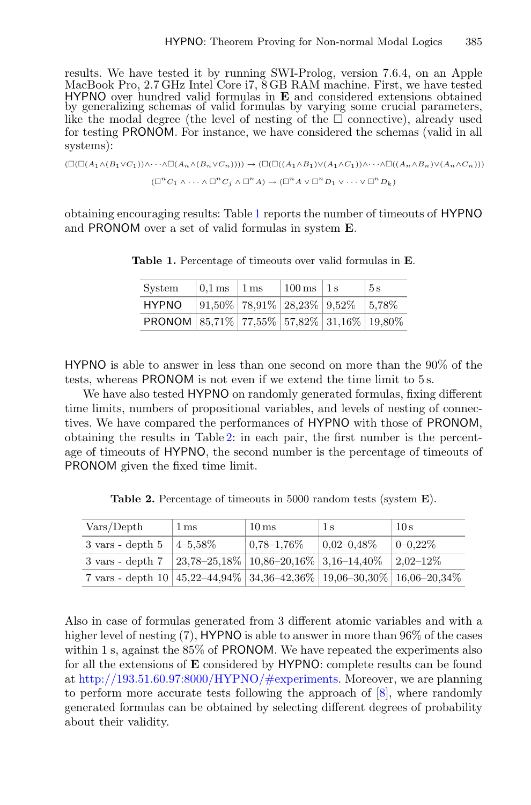results. We have tested it by running SWI-Prolog, version 7.6.4, on an Apple MacBook Pro, 2.7 GHz Intel Core i7, 8 GB RAM machine. First, we have tested HYPNO over hundred valid formulas in **E** and considered extensions obtained by generalizing schemas of valid formulas by varying some crucial parameters, like the modal degree (the level of nesting of the  $\Box$  connective), already used for testing PRONOM. For instance, we have considered the schemas (valid in all systems):

$$
(\Box(\Box(A_1 \land (B_1 \lor C_1)) \land \cdots \land \Box(A_n \land (B_n \lor C_n)))) \rightarrow (\Box(\Box((A_1 \land B_1) \lor (A_1 \land C_1)) \land \cdots \land \Box((A_n \land B_n) \lor (A_n \land C_n)))
$$

$$
(\Box^n C_1 \land \cdots \land \Box^n C_j \land \Box^n A) \rightarrow (\Box^n A \lor \Box^n D_1 \lor \cdots \lor \Box^n D_k)
$$

obtaining encouraging results: Table [1](#page-7-0) reports the number of timeouts of HYPNO and PRONOM over a set of valid formulas in system **E**.

| System                                            | $0.1 \,\mathrm{ms}$ $1 \,\mathrm{ms}$ | $100 \,\mathrm{ms}$ 1 s |                                                                               | 5s |
|---------------------------------------------------|---------------------------------------|-------------------------|-------------------------------------------------------------------------------|----|
| <b>HYPNO</b>                                      |                                       |                         | $\vert 91,50\% \vert 78,91\% \vert 28,23\% \vert 9,52\% \vert 5,78\% \rangle$ |    |
| PRONOM $ 85,71\% 77,55\% 57,82\% 31,16\% 19,80\%$ |                                       |                         |                                                                               |    |

<span id="page-7-0"></span>**Table 1.** Percentage of timeouts over valid formulas in **E**.

HYPNO is able to answer in less than one second on more than the 90% of the tests, whereas PRONOM is not even if we extend the time limit to 5 s.

We have also tested HYPNO on randomly generated formulas, fixing different time limits, numbers of propositional variables, and levels of nesting of connectives. We have compared the performances of HYPNO with those of PRONOM, obtaining the results in Table [2:](#page-7-1) in each pair, the first number is the percentage of timeouts of HYPNO, the second number is the percentage of timeouts of PRONOM given the fixed time limit.

<span id="page-7-1"></span>**Table 2.** Percentage of timeouts in 5000 random tests (system **E**).

| Vars/Depth                                                                   | 1 <sub>ms</sub> | $10 \,\mathrm{ms}$ | Τs               | 10 s                     |
|------------------------------------------------------------------------------|-----------------|--------------------|------------------|--------------------------|
| 3 vars - depth 5 $ 4-5.58\% $                                                |                 | $0.78$ – $1.76\%$  | $ 0.02 - 0.48\%$ | $ 0 - 0.22\% $           |
| 3 vars - depth 7   23,78-25,18%   10,86-20,16%   3,16-14,40%                 |                 |                    |                  | $\frac{12.02 - 12\%}{ }$ |
| 7 vars - depth 10 $ 45,22-44,94\% 34,36-42,36\% 19,06-30,30\% 16,06-20,34\%$ |                 |                    |                  |                          |

Also in case of formulas generated from 3 different atomic variables and with a higher level of nesting (7), HYPNO is able to answer in more than 96% of the cases within 1 s, against the 85% of PRONOM. We have repeated the experiments also for all the extensions of **E** considered by HYPNO: complete results can be found at [http://193.51.60.97:8000/HYPNO/#experiments.](http://193.51.60.97:8000/HYPNO/#experiments) Moreover, we are planning to perform more accurate tests following the approach of [\[8](#page-8-6)], where randomly generated formulas can be obtained by selecting different degrees of probability about their validity.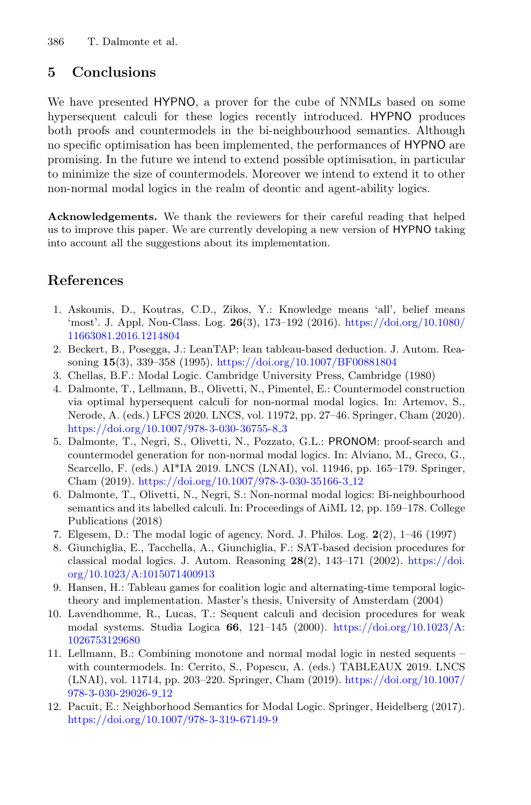# **5 Conclusions**

We have presented HYPNO, a prover for the cube of NNMLs based on some hypersequent calculi for these logics recently introduced. HYPNO produces both proofs and countermodels in the bi-neighbourhood semantics. Although no specific optimisation has been implemented, the performances of HYPNO are promising. In the future we intend to extend possible optimisation, in particular to minimize the size of countermodels. Moreover we intend to extend it to other non-normal modal logics in the realm of deontic and agent-ability logics.

**Acknowledgements.** We thank the reviewers for their careful reading that helped us to improve this paper. We are currently developing a new version of HYPNO taking into account all the suggestions about its implementation.

# **References**

- <span id="page-8-1"></span>1. Askounis, D., Koutras, C.D., Zikos, Y.: Knowledge means 'all', belief means 'most'. J. Appl. Non-Class. Log. **26**(3), 173–192 (2016). [https://doi.org/10.1080/](https://doi.org/10.1080/11663081.2016.1214804) [11663081.2016.1214804](https://doi.org/10.1080/11663081.2016.1214804)
- <span id="page-8-11"></span>2. Beckert, B., Posegga, J.: LeanTAP: lean tableau-based deduction. J. Autom. Reasoning **15**(3), 339–358 (1995). <https://doi.org/10.1007/BF00881804>
- <span id="page-8-0"></span>3. Chellas, B.F.: Modal Logic. Cambridge University Press, Cambridge (1980)
- <span id="page-8-4"></span>4. Dalmonte, T., Lellmann, B., Olivetti, N., Pimentel, E.: Countermodel construction via optimal hypersequent calculi for non-normal modal logics. In: Artemov, S., Nerode, A. (eds.) LFCS 2020. LNCS, vol. 11972, pp. 27–46. Springer, Cham (2020). [https://doi.org/10.1007/978-3-030-36755-8](https://doi.org/10.1007/978-3-030-36755-8_3) 3
- <span id="page-8-10"></span>5. Dalmonte, T., Negri, S., Olivetti, N., Pozzato, G.L.: PRONOM: proof-search and countermodel generation for non-normal modal logics. In: Alviano, M., Greco, G., Scarcello, F. (eds.) AI\*IA 2019. LNCS (LNAI), vol. 11946, pp. 165–179. Springer, Cham (2019). [https://doi.org/10.1007/978-3-030-35166-3](https://doi.org/10.1007/978-3-030-35166-3_12) 12
- <span id="page-8-5"></span>6. Dalmonte, T., Olivetti, N., Negri, S.: Non-normal modal logics: Bi-neighbourhood semantics and its labelled calculi. In: Proceedings of AiML 12, pp. 159–178. College Publications (2018)
- <span id="page-8-2"></span>7. Elgesem, D.: The modal logic of agency. Nord. J. Philos. Log. **2**(2), 1–46 (1997)
- <span id="page-8-6"></span>8. Giunchiglia, E., Tacchella, A., Giunchiglia, F.: SAT-based decision procedures for classical modal logics. J. Autom. Reasoning **28**(2), 143–171 (2002). [https://doi.](https://doi.org/10.1023/A:1015071400913) [org/10.1023/A:1015071400913](https://doi.org/10.1023/A:1015071400913)
- <span id="page-8-8"></span>9. Hansen, H.: Tableau games for coalition logic and alternating-time temporal logictheory and implementation. Master's thesis, University of Amsterdam (2004)
- <span id="page-8-7"></span>10. Lavendhomme, R., Lucas, T.: Sequent calculi and decision procedures for weak modal systems. Studia Logica **66**, 121–145 (2000). [https://doi.org/10.1023/A:](https://doi.org/10.1023/A:1026753129680) [1026753129680](https://doi.org/10.1023/A:1026753129680)
- <span id="page-8-9"></span>11. Lellmann, B.: Combining monotone and normal modal logic in nested sequents – with countermodels. In: Cerrito, S., Popescu, A. (eds.) TABLEAUX 2019. LNCS (LNAI), vol. 11714, pp. 203–220. Springer, Cham (2019). [https://doi.org/10.1007/](https://doi.org/10.1007/978-3-030-29026-9_12) [978-3-030-29026-9](https://doi.org/10.1007/978-3-030-29026-9_12) 12
- <span id="page-8-3"></span>12. Pacuit, E.: Neighborhood Semantics for Modal Logic. Springer, Heidelberg (2017). <https://doi.org/10.1007/978-3-319-67149-9>